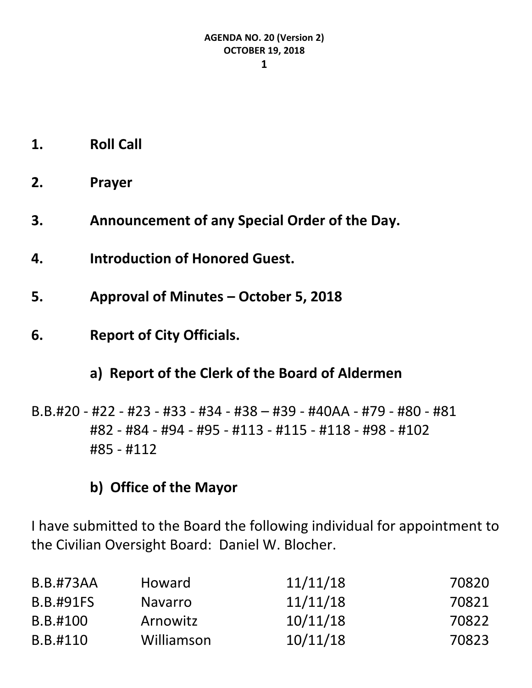- **1. Roll Call**
- **2. Prayer**
- **3. Announcement of any Special Order of the Day.**
- **4. Introduction of Honored Guest.**
- **5. Approval of Minutes – October 5, 2018**
- **6. Report of City Officials.**

# **a) Report of the Clerk of the Board of Aldermen**

B.B.#20 - #22 - #23 - #33 - #34 - #38 – #39 - #40AA - #79 - #80 - #81 #82 - #84 - #94 - #95 - #113 - #115 - #118 - #98 - #102 #85 - #112

# **b) Office of the Mayor**

I have submitted to the Board the following individual for appointment to the Civilian Oversight Board: Daniel W. Blocher.

| <b>B.B.#73AA</b><br><b>B.B.#91FS</b> | <b>Howard</b>  | 11/11/18 | 70820 |
|--------------------------------------|----------------|----------|-------|
|                                      | <b>Navarro</b> | 11/11/18 | 70821 |
| B.B.#100                             | Arnowitz       | 10/11/18 | 70822 |
| B.B.#110                             | Williamson     | 10/11/18 | 70823 |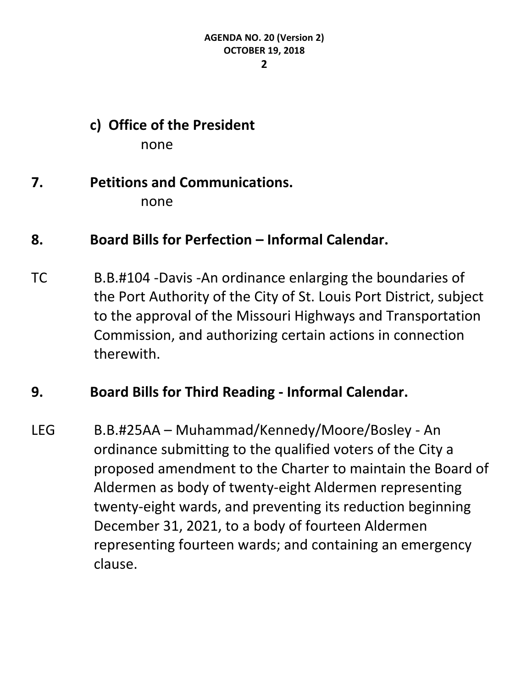**2**

# **c) Office of the President**

none

# **7. Petitions and Communications.**

none

# **8. Board Bills for Perfection – Informal Calendar.**

TC B.B.#104 -Davis -An ordinance enlarging the boundaries of the Port Authority of the City of St. Louis Port District, subject to the approval of the Missouri Highways and Transportation Commission, and authorizing certain actions in connection therewith.

# **9. Board Bills for Third Reading - Informal Calendar.**

LEG B.B.#25AA – Muhammad/Kennedy/Moore/Bosley - An ordinance submitting to the qualified voters of the City a proposed amendment to the Charter to maintain the Board of Aldermen as body of twenty-eight Aldermen representing twenty-eight wards, and preventing its reduction beginning December 31, 2021, to a body of fourteen Aldermen representing fourteen wards; and containing an emergency clause.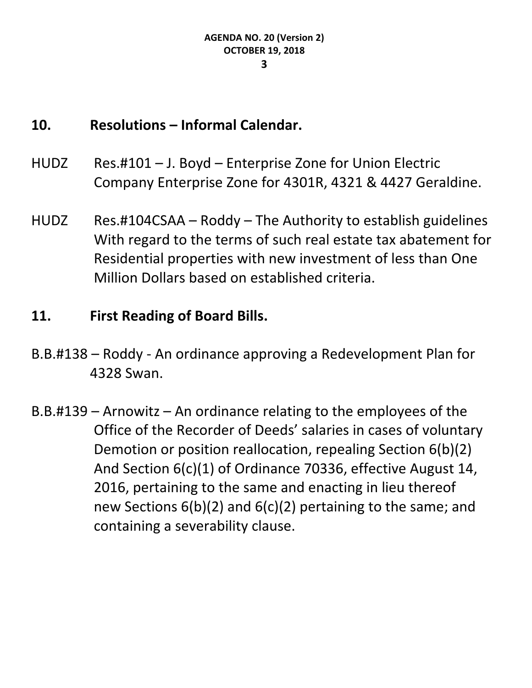#### **10. Resolutions – Informal Calendar.**

- HUDZ Res.#101 J. Boyd Enterprise Zone for Union Electric Company Enterprise Zone for 4301R, 4321 & 4427 Geraldine.
- HUDZ Res.#104CSAA Roddy The Authority to establish guidelines With regard to the terms of such real estate tax abatement for Residential properties with new investment of less than One Million Dollars based on established criteria.

# **11. First Reading of Board Bills.**

- B.B.#138 Roddy An ordinance approving a Redevelopment Plan for 4328 Swan.
- B.B.#139 Arnowitz An ordinance relating to the employees of the Office of the Recorder of Deeds' salaries in cases of voluntary Demotion or position reallocation, repealing Section 6(b)(2) And Section 6(c)(1) of Ordinance 70336, effective August 14, 2016, pertaining to the same and enacting in lieu thereof new Sections 6(b)(2) and 6(c)(2) pertaining to the same; and containing a severability clause.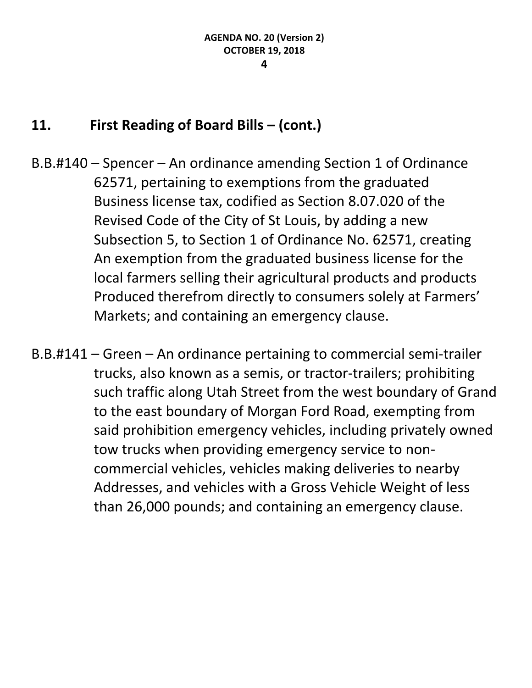- B.B.#140 Spencer An ordinance amending Section 1 of Ordinance 62571, pertaining to exemptions from the graduated Business license tax, codified as Section 8.07.020 of the Revised Code of the City of St Louis, by adding a new Subsection 5, to Section 1 of Ordinance No. 62571, creating An exemption from the graduated business license for the local farmers selling their agricultural products and products Produced therefrom directly to consumers solely at Farmers' Markets; and containing an emergency clause.
- B.B.#141 Green An ordinance pertaining to commercial semi-trailer trucks, also known as a semis, or tractor-trailers; prohibiting such traffic along Utah Street from the west boundary of Grand to the east boundary of Morgan Ford Road, exempting from said prohibition emergency vehicles, including privately owned tow trucks when providing emergency service to noncommercial vehicles, vehicles making deliveries to nearby Addresses, and vehicles with a Gross Vehicle Weight of less than 26,000 pounds; and containing an emergency clause.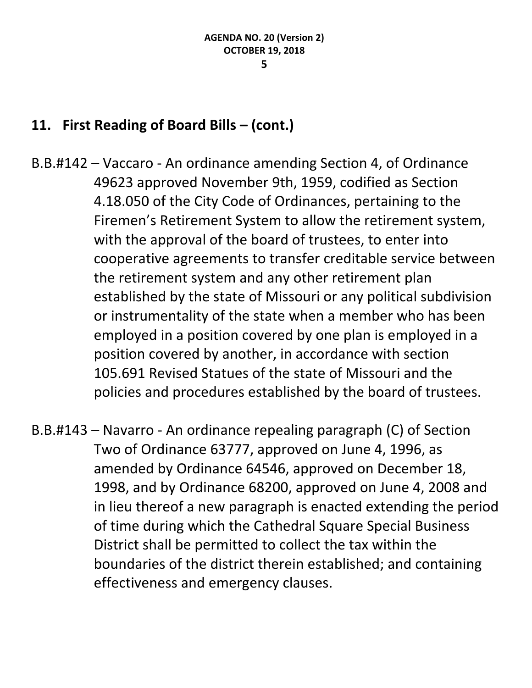- B.B.#142 Vaccaro An ordinance amending Section 4, of Ordinance 49623 approved November 9th, 1959, codified as Section 4.18.050 of the City Code of Ordinances, pertaining to the Firemen's Retirement System to allow the retirement system, with the approval of the board of trustees, to enter into cooperative agreements to transfer creditable service between the retirement system and any other retirement plan established by the state of Missouri or any political subdivision or instrumentality of the state when a member who has been employed in a position covered by one plan is employed in a position covered by another, in accordance with section 105.691 Revised Statues of the state of Missouri and the policies and procedures established by the board of trustees.
- B.B.#143 Navarro An ordinance repealing paragraph (C) of Section Two of Ordinance 63777, approved on June 4, 1996, as amended by Ordinance 64546, approved on December 18, 1998, and by Ordinance 68200, approved on June 4, 2008 and in lieu thereof a new paragraph is enacted extending the period of time during which the Cathedral Square Special Business District shall be permitted to collect the tax within the boundaries of the district therein established; and containing effectiveness and emergency clauses.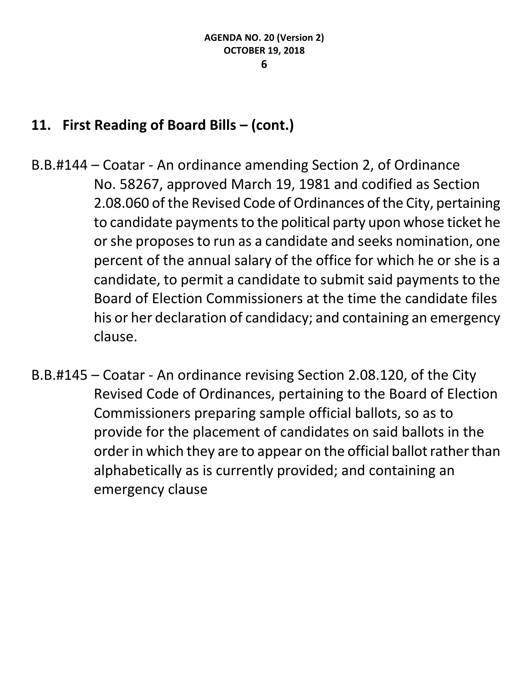- B.B.#144 Coatar An ordinance amending Section 2, of Ordinance No. 58267, approved March 19, 1981 and codified as Section 2.08.060 of the Revised Code of Ordinances of the City, pertaining to candidate payments to the political party upon whose ticket he or she proposes to run as a candidate and seeks nomination, one percent of the annual salary of the office for which he or she is a candidate, to permit a candidate to submit said payments to the Board of Election Commissioners at the time the candidate files his or her declaration of candidacy; and containing an emergency clause.
- B.B.#145 Coatar An ordinance revising Section 2.08.120, of the City Revised Code of Ordinances, pertaining to the Board of Election Commissioners preparing sample official ballots, so as to provide for the placement of candidates on said ballots in the order in which they are to appear on the official ballot rather than alphabetically as is currently provided; and containing an emergency clause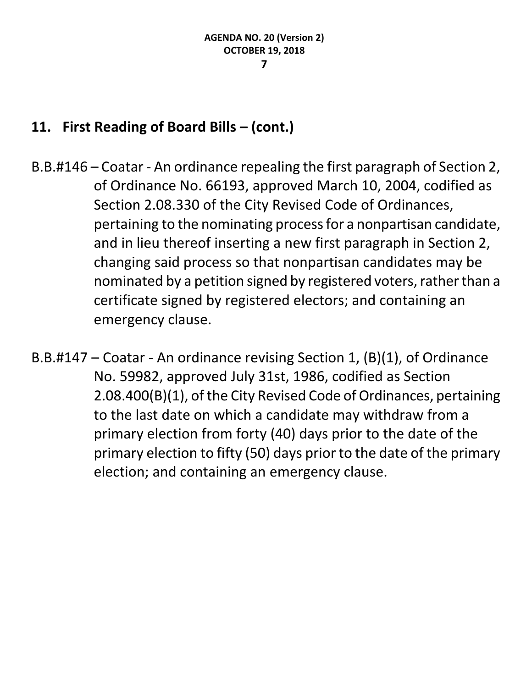- B.B.#146 Coatar An ordinance repealing the first paragraph of Section 2, of Ordinance No. 66193, approved March 10, 2004, codified as Section 2.08.330 of the City Revised Code of Ordinances, pertaining to the nominating process for a nonpartisan candidate, and in lieu thereof inserting a new first paragraph in Section 2, changing said process so that nonpartisan candidates may be nominated by a petition signed by registered voters, rather than a certificate signed by registered electors; and containing an emergency clause.
- B.B.#147 Coatar An ordinance revising Section 1, (B)(1), of Ordinance No. 59982, approved July 31st, 1986, codified as Section 2.08.400(B)(1), of the City Revised Code of Ordinances, pertaining to the last date on which a candidate may withdraw from a primary election from forty (40) days prior to the date of the primary election to fifty (50) days prior to the date of the primary election; and containing an emergency clause.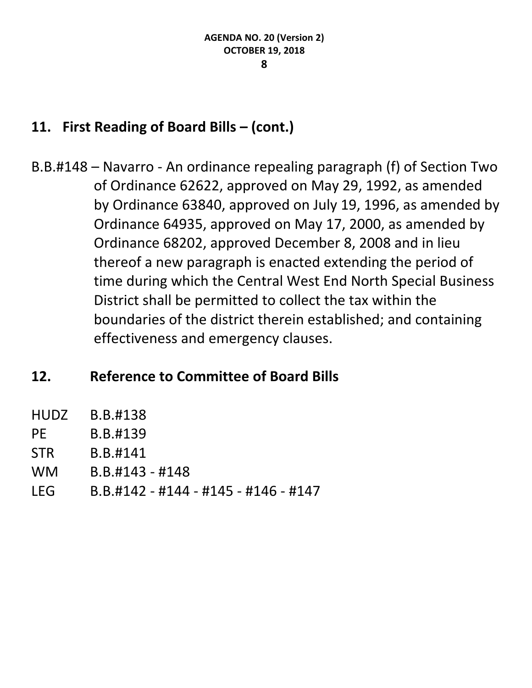B.B.#148 – Navarro - An ordinance repealing paragraph (f) of Section Two of Ordinance 62622, approved on May 29, 1992, as amended by Ordinance 63840, approved on July 19, 1996, as amended by Ordinance 64935, approved on May 17, 2000, as amended by Ordinance 68202, approved December 8, 2008 and in lieu thereof a new paragraph is enacted extending the period of time during which the Central West End North Special Business District shall be permitted to collect the tax within the boundaries of the district therein established; and containing effectiveness and emergency clauses.

# **12. Reference to Committee of Board Bills**

- HUDZ B.B.#138
- PE B.B.#139
- STR B.B.#141
- WM B.B.#143 #148
- LEG B.B.#142 #144 #145 #146 #147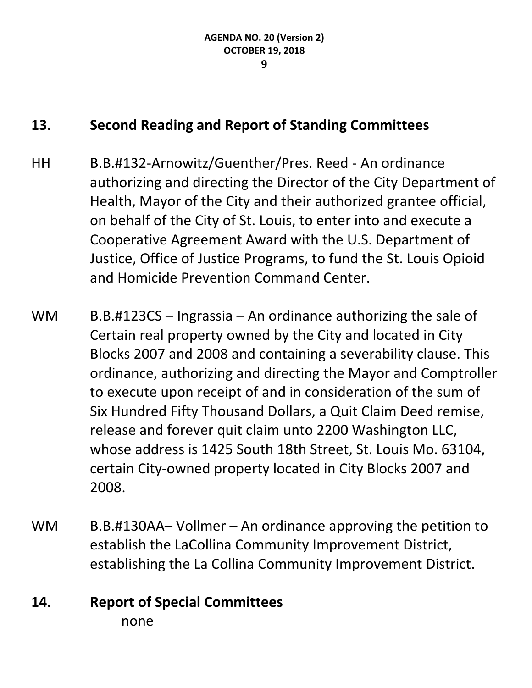# **13. Second Reading and Report of Standing Committees**

- HH B.B.#132-Arnowitz/Guenther/Pres. Reed An ordinance authorizing and directing the Director of the City Department of Health, Mayor of the City and their authorized grantee official, on behalf of the City of St. Louis, to enter into and execute a Cooperative Agreement Award with the U.S. Department of Justice, Office of Justice Programs, to fund the St. Louis Opioid and Homicide Prevention Command Center.
- WM  $B.B. #123CS Ingrassia An ordinance authorizing the sale of$ Certain real property owned by the City and located in City Blocks 2007 and 2008 and containing a severability clause. This ordinance, authorizing and directing the Mayor and Comptroller to execute upon receipt of and in consideration of the sum of Six Hundred Fifty Thousand Dollars, a Quit Claim Deed remise, release and forever quit claim unto 2200 Washington LLC, whose address is 1425 South 18th Street, St. Louis Mo. 63104, certain City-owned property located in City Blocks 2007 and 2008.
- WM B.B.#130AA– Vollmer An ordinance approving the petition to establish the LaCollina Community Improvement District, establishing the La Collina Community Improvement District.

# **14. Report of Special Committees** none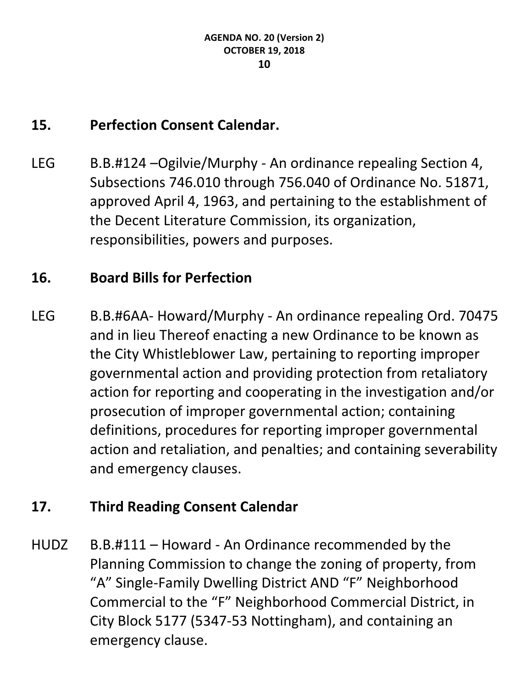# **15. Perfection Consent Calendar.**

LEG B.B.#124 –Ogilvie/Murphy - An ordinance repealing Section 4, Subsections 746.010 through 756.040 of Ordinance No. 51871, approved April 4, 1963, and pertaining to the establishment of the Decent Literature Commission, its organization, responsibilities, powers and purposes.

# **16. Board Bills for Perfection**

LEG B.B.#6AA- Howard/Murphy - An ordinance repealing Ord. 70475 and in lieu Thereof enacting a new Ordinance to be known as the City Whistleblower Law, pertaining to reporting improper governmental action and providing protection from retaliatory action for reporting and cooperating in the investigation and/or prosecution of improper governmental action; containing definitions, procedures for reporting improper governmental action and retaliation, and penalties; and containing severability and emergency clauses.

# **17. Third Reading Consent Calendar**

HUDZ B.B.#111 – Howard - An Ordinance recommended by the Planning Commission to change the zoning of property, from "A" Single-Family Dwelling District AND "F" Neighborhood Commercial to the "F" Neighborhood Commercial District, in City Block 5177 (5347-53 Nottingham), and containing an emergency clause.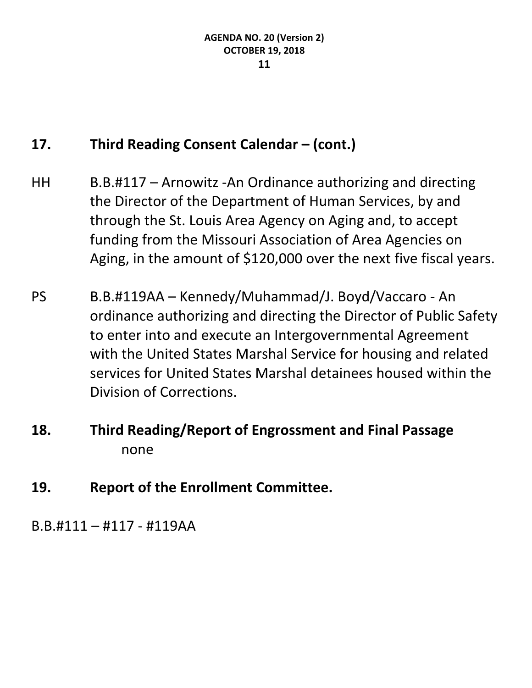# **17. Third Reading Consent Calendar – (cont.)**

- HH B.B.#117 Arnowitz -An Ordinance authorizing and directing the Director of the Department of Human Services, by and through the St. Louis Area Agency on Aging and, to accept funding from the Missouri Association of Area Agencies on Aging, in the amount of \$120,000 over the next five fiscal years.
- PS B.B.#119AA Kennedy/Muhammad/J. Boyd/Vaccaro An ordinance authorizing and directing the Director of Public Safety to enter into and execute an Intergovernmental Agreement with the United States Marshal Service for housing and related services for United States Marshal detainees housed within the Division of Corrections.
- **18. Third Reading/Report of Engrossment and Final Passage** none
- **19. Report of the Enrollment Committee.**

B.B.#111 – #117 - #119AA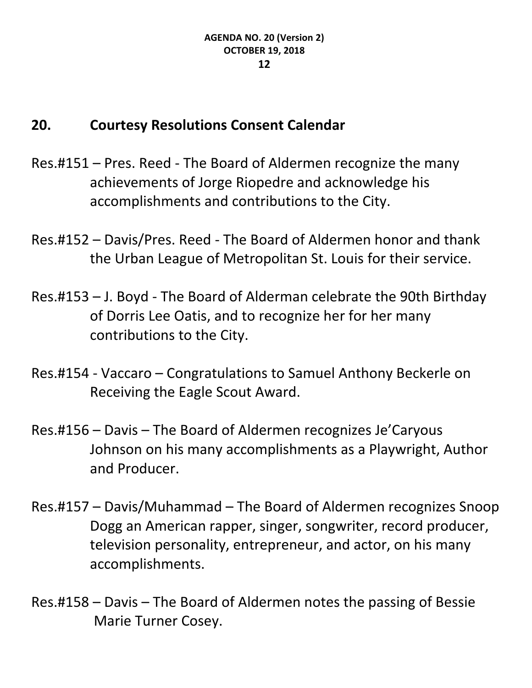# **20. Courtesy Resolutions Consent Calendar**

- Res.#151 Pres. Reed The Board of Aldermen recognize the many achievements of Jorge Riopedre and acknowledge his accomplishments and contributions to the City.
- Res.#152 Davis/Pres. Reed The Board of Aldermen honor and thank the Urban League of Metropolitan St. Louis for their service.
- Res.#153 J. Boyd The Board of Alderman celebrate the 90th Birthday of Dorris Lee Oatis, and to recognize her for her many contributions to the City.
- Res.#154 Vaccaro Congratulations to Samuel Anthony Beckerle on Receiving the Eagle Scout Award.
- Res.#156 Davis The Board of Aldermen recognizes Je'Caryous Johnson on his many accomplishments as a Playwright, Author and Producer.
- Res.#157 Davis/Muhammad The Board of Aldermen recognizes Snoop Dogg an American rapper, singer, songwriter, record producer, television personality, entrepreneur, and actor, on his many accomplishments.
- Res.#158 Davis The Board of Aldermen notes the passing of Bessie Marie Turner Cosey.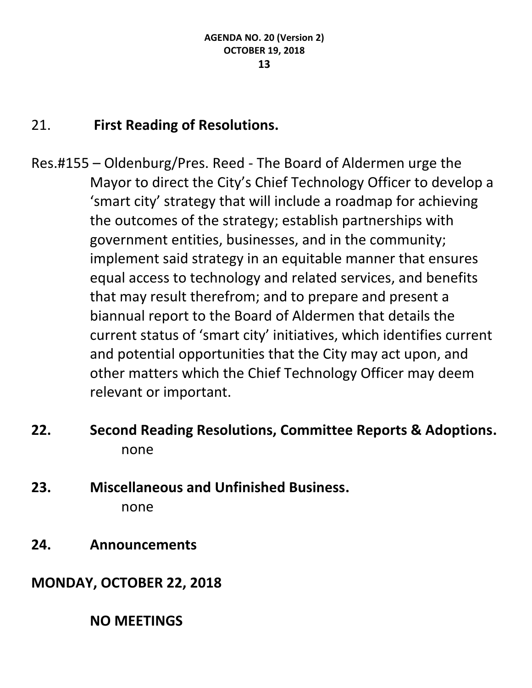# 21. **First Reading of Resolutions.**

- Res.#155 Oldenburg/Pres. Reed The Board of Aldermen urge the Mayor to direct the City's Chief Technology Officer to develop a 'smart city' strategy that will include a roadmap for achieving the outcomes of the strategy; establish partnerships with government entities, businesses, and in the community; implement said strategy in an equitable manner that ensures equal access to technology and related services, and benefits that may result therefrom; and to prepare and present a biannual report to the Board of Aldermen that details the current status of 'smart city' initiatives, which identifies current and potential opportunities that the City may act upon, and other matters which the Chief Technology Officer may deem relevant or important.
- **22. Second Reading Resolutions, Committee Reports & Adoptions.** none
- **23. Miscellaneous and Unfinished Business.** none
- **24. Announcements**
- **MONDAY, OCTOBER 22, 2018**

**NO MEETINGS**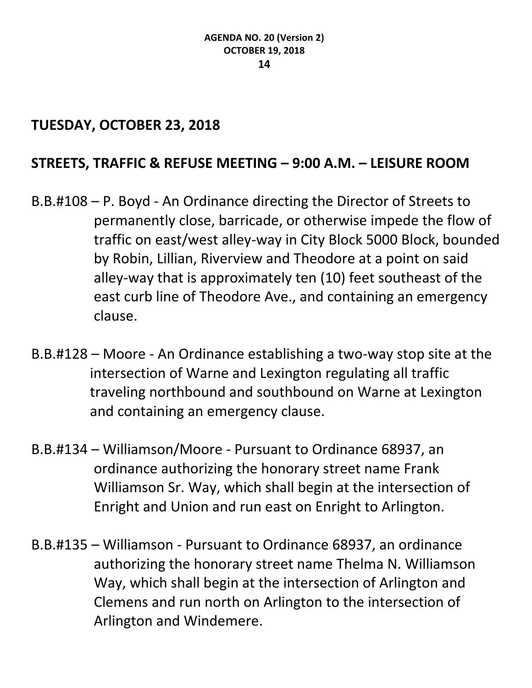#### **TUESDAY, OCTOBER 23, 2018**

# **STREETS, TRAFFIC & REFUSE MEETING – 9:00 A.M. – LEISURE ROOM**

- B.B.#108 P. Boyd An Ordinance directing the Director of Streets to permanently close, barricade, or otherwise impede the flow of traffic on east/west alley-way in City Block 5000 Block, bounded by Robin, Lillian, Riverview and Theodore at a point on said alley-way that is approximately ten (10) feet southeast of the east curb line of Theodore Ave., and containing an emergency clause.
- B.B.#128 Moore An Ordinance establishing a two-way stop site at the intersection of Warne and Lexington regulating all traffic traveling northbound and southbound on Warne at Lexington and containing an emergency clause.
- B.B.#134 Williamson/Moore Pursuant to Ordinance 68937, an ordinance authorizing the honorary street name Frank Williamson Sr. Way, which shall begin at the intersection of Enright and Union and run east on Enright to Arlington.
- B.B.#135 Williamson Pursuant to Ordinance 68937, an ordinance authorizing the honorary street name Thelma N. Williamson Way, which shall begin at the intersection of Arlington and Clemens and run north on Arlington to the intersection of Arlington and Windemere.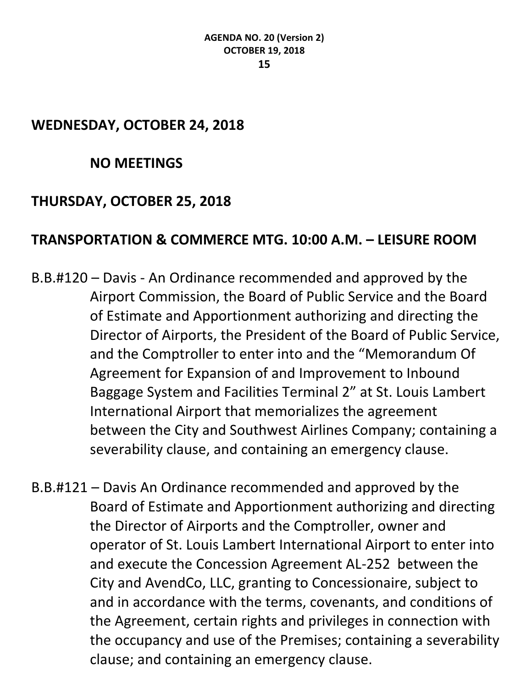#### **WEDNESDAY, OCTOBER 24, 2018**

#### **NO MEETINGS**

#### **THURSDAY, OCTOBER 25, 2018**

#### **TRANSPORTATION & COMMERCE MTG. 10:00 A.M. – LEISURE ROOM**

- B.B.#120 Davis An Ordinance recommended and approved by the Airport Commission, the Board of Public Service and the Board of Estimate and Apportionment authorizing and directing the Director of Airports, the President of the Board of Public Service, and the Comptroller to enter into and the "Memorandum Of Agreement for Expansion of and Improvement to Inbound Baggage System and Facilities Terminal 2" at St. Louis Lambert International Airport that memorializes the agreement between the City and Southwest Airlines Company; containing a severability clause, and containing an emergency clause.
- B.B.#121 Davis An Ordinance recommended and approved by the Board of Estimate and Apportionment authorizing and directing the Director of Airports and the Comptroller, owner and operator of St. Louis Lambert International Airport to enter into and execute the Concession Agreement AL-252 between the City and AvendCo, LLC, granting to Concessionaire, subject to and in accordance with the terms, covenants, and conditions of the Agreement, certain rights and privileges in connection with the occupancy and use of the Premises; containing a severability clause; and containing an emergency clause.